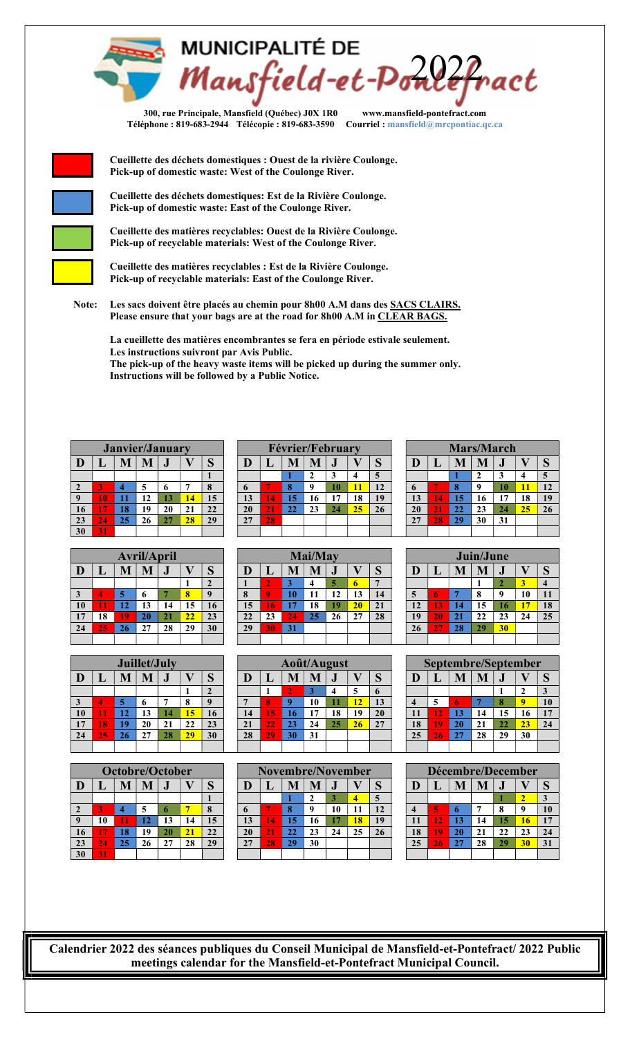

300, rue Principale, Mansfield (Québec) J0X 1R0 www.mansfield-pontefract.com Téléphone : 819-683-2944 Télécopie : 819-683-3590 Courriel : mansfield@mrcpontiac.qc.ca



 Cueillette des déchets domestiques : Ouest de la rivière Coulonge. Pick-up of domestic waste: West of the Coulonge River.

 Cueillette des déchets domestiques: Est de la Rivière Coulonge. Pick-up of domestic waste: East of the Coulonge River.

 Cueillette des matières recyclables: Ouest de la Rivière Coulonge. Pick-up of recyclable materials: West of the Coulonge River.

 Cueillette des matières recyclables : Est de la Rivière Coulonge. Pick-up of recyclable materials: East of the Coulonge River.

Note: Les sacs doivent être placés au chemin pour 8h00 A.M dans des SACS CLAIRS. Please ensure that your bags are at the road for 8h00 A.M in CLEAR BAGS.

La cueillette des matières encombrantes se fera en période estivale seulement. Les instructions suivront par Avis Public.

The pick-up of the heavy waste items will be picked up during the summer only. Instructions will be followed by a Public Notice.

|                 |    | <b>Janvier/January</b> |    |    |    |    |
|-----------------|----|------------------------|----|----|----|----|
| D               | L  | M                      | M  |    |    | S  |
|                 |    |                        |    |    |    |    |
| 2               | 3  |                        | 5  | 6  |    | 8  |
| 9               | 10 | 11                     | 12 | 13 | 14 | 15 |
| 16              | 17 | 18                     | 19 | 20 | 21 | 22 |
| 23              | 24 | 25                     | 26 | 27 | 28 | 29 |
| $\overline{30}$ | 31 |                        |    |    |    |    |

|                 |    |    | <b>Avril/April</b> |    |    |              |
|-----------------|----|----|--------------------|----|----|--------------|
| D               | L  | M  | M                  |    |    | S            |
|                 |    |    |                    |    |    | $\mathbf{2}$ |
| 3               |    | 5  | 6                  |    | 8  | 9            |
| 10              | 11 | 12 | 13                 | 14 | 15 | 16           |
| 17              | 18 | 19 | 20                 | 21 | 22 | 23           |
| $\overline{24}$ | 25 | 26 | 27                 | 28 | 29 | 30           |
|                 |    |    |                    |    |    |              |

|    |                       |    | Juillet/July |           |    |         |    | Août/August |          |     |           |    |              |    |    |          | Septembre/September |           |          |              |
|----|-----------------------|----|--------------|-----------|----|---------|----|-------------|----------|-----|-----------|----|--------------|----|----|----------|---------------------|-----------|----------|--------------|
| D  |                       |    | TAT.         | $\bullet$ |    | ິ<br>IJ | Œ  | ш.          | M        | IV. | $\bullet$ |    | $\sim$<br>IJ |    |    | M        | M                   | $\bullet$ |          | $\sim$<br>IJ |
|    |                       |    |              |           |    |         |    |             | H        | - 1 | 4         |    | $\mathbf{v}$ |    |    |          |                     |           |          |              |
|    | $\boldsymbol{\Delta}$ | 5  |              |           |    |         |    | 8           | $\Omega$ | 10  |           | 12 | 13           |    |    | <b>b</b> |                     | л         | $\bf{0}$ | 10           |
| 10 |                       | 12 | 13           | 14        | 15 | 16      | 14 | 15          | 16       | 17  | 18        | 19 | 20           |    | 12 | 13       | 14                  | 15        | 16       | 17           |
| 17 | 18                    | 19 | 20           | 21        | 22 | 23      | 21 | 22          | 23       | 24  | 25        | 26 | 27           | 18 | 19 | 20       | 21                  |           | 23       | 24           |
| 24 | 25                    | 26 | 27           | 28        | 29 | 30      | 28 | 29          | 30       | 31  |           |    |              | 25 | 26 | 27       | 28                  | 29        | 30       |              |
|    |                       |    |              |           |    |         |    |             |          |     |           |    |              |    |    |          |                     |           |          |              |

|                         |    | Octobre/October |    |    |    |    |
|-------------------------|----|-----------------|----|----|----|----|
| D                       | L  | M               | M  | J  |    | S  |
|                         |    |                 |    |    |    |    |
| $\overline{\mathbf{c}}$ | 3  |                 | 5  | 6  |    | 8  |
| 9                       | 10 | 11              | 12 | 13 | 14 | 15 |
| 16                      | 17 | 18              | 19 | 20 | 21 | 22 |
| 23                      | 24 | 25              | 26 | 27 | 28 | 29 |
| $\overline{30}$         | 31 |                 |    |    |    |    |

|    |    |      |    | Janvier/January |    |          |    | Février/February |    |    |    |    |    |  |    |    | <b>Mars/March</b> |      |    |    |    |
|----|----|------|----|-----------------|----|----------|----|------------------|----|----|----|----|----|--|----|----|-------------------|------|----|----|----|
| D  |    | 1V.F |    |                 |    |          | IJ | M                |    |    |    |    |    |  |    |    | IV.               | I VI |    |    |    |
|    |    |      |    |                 |    |          |    |                  |    |    |    |    |    |  |    |    |                   |      |    |    |    |
| L  |    |      |    |                 |    | $\Omega$ |    |                  |    |    | 10 |    | 12 |  |    |    |                   |      |    |    | 12 |
|    | 10 |      | າ  | 13              | 14 | 15       | 13 | 14               | 15 |    | 17 | 18 | 19 |  | 13 | 14 | 15                | 16   |    | 18 | 19 |
| 16 | m  | 18   | 19 | 20              | 21 | 22       | 20 | 21               | 22 | 23 | 24 | 25 | 26 |  | 20 | 21 | 22                | 23   | 24 | 25 | 26 |
| 23 | 24 | 25   | 26 | 27              | 28 | 29       | 27 | 28               |    |    |    |    |    |  | 27 | 28 | 29                | 30   | 31 |    |    |
| 30 |    |      |    |                 |    |          |    |                  |    |    |    |    |    |  |    |    |                   |      |    |    |    |

|    |    |    | <b>Avril/April</b> |         |    |    |              |          |    | Mai/May |           |              |    |    |    |              | Juin/June |           |    |        |
|----|----|----|--------------------|---------|----|----|--------------|----------|----|---------|-----------|--------------|----|----|----|--------------|-----------|-----------|----|--------|
| D  |    |    |                    | $\cdot$ |    | ◡  | D            |          |    |         | $\bullet$ |              |    |    |    | $\mathbf{I}$ | IV.       | $\bullet$ |    | $\sim$ |
|    |    |    |                    |         |    |    |              |          |    | 4       |           | $\mathbf{p}$ | ▬  |    |    |              |           |           | د  |        |
|    |    |    | o                  |         |    |    | $\mathbf{v}$ | $\Omega$ | 10 |         | 12        | 13           | 14 | 5  | 6  |              | 8         | 9         | 10 | 11     |
| 10 |    | 12 | 13                 | 14      | 15 | 16 | 15           | 16       | ., | 18      | 19        | 20           | 21 | 12 | 13 | 14           | 15        | - 10      | 17 | 18     |
| 17 | 18 | 19 | <b>20</b>          | 21      | 22 | 23 | 22           | 23       | 24 | 25      | 26        | 27           | 28 | 19 | 20 | 21           | 22        | 23        | 24 | 25     |
| 24 | 25 | 26 | 27                 | 28      | 29 | 30 | 29           | 30       | 31 |         |           |              |    | 26 | 27 | 28           | 29        | 30        |    |        |
|    |    |    |                    |         |    |    |              |          |    |         |           |              |    |    |    |              |           |           |    |        |

|    | Juillet/July |           |    |                |    | Août/August |    |    |           |    |             |  |    |    |    |    |         | Septembre/September |        |
|----|--------------|-----------|----|----------------|----|-------------|----|----|-----------|----|-------------|--|----|----|----|----|---------|---------------------|--------|
| M  | M            | $\bullet$ |    | $\Omega$<br>IJ | D  |             | M  | M  | $\bullet$ |    | $\sim$      |  | D  |    |    |    | $\cdot$ |                     | ິ<br>w |
|    |              |           |    |                |    |             |    |    |           |    | $\mathbf b$ |  |    |    |    |    |         | -                   | 3      |
|    | $\mathbf b$  |           | О  |                |    | 8           |    | 10 |           | 12 | 13          |  |    |    | h  |    | 8       |                     | 10     |
|    | 13           | 14        | 15 | 16             | 14 | 15          | 16 | 17 | 18        | 19 | 20          |  |    | 2  |    | 14 | 15      | 16                  | 17     |
|    | 20           | 21        | 22 | 23             | 21 | 22          | 23 | 24 | 25        | 26 | 27          |  | 18 |    | 20 | 21 | 22      | 23                  | 24     |
| 26 | 27           | 28        | 29 | 30             | 28 | 29          | 30 | 31 |           |    |             |  | 25 | 26 |    | 28 | 29      | 30                  |        |
|    |              |           |    |                |    |             |    |    |           |    |             |  |    |    |    |    |         |                     |        |

|    |    | Octobre/October |    |    |    |    | Novembre/November |    |    |    |    |    |    |    | Décembre/December |    |    |    |    |    |
|----|----|-----------------|----|----|----|----|-------------------|----|----|----|----|----|----|----|-------------------|----|----|----|----|----|
| D  |    |                 |    |    |    |    |                   |    |    |    |    |    |    |    |                   |    |    |    |    |    |
|    |    |                 |    |    |    |    |                   |    |    |    |    |    |    |    |                   |    |    |    |    |    |
| Ζ. |    |                 |    |    |    |    |                   |    |    |    | 10 | 11 | 12 |    | 6                 | o  |    | 8  |    | 10 |
|    | 10 |                 | 12 | 13 | 14 | 15 | 13                | 14 | 15 |    |    | 18 | 19 |    | 12                | 13 | 14 | 15 | 16 | 17 |
| 16 | m  | 18              | 9  | 20 | 21 | 22 | 20                | 21 | 22 |    | 24 | 25 | 26 | 18 | 19                | 20 |    |    | 23 | 24 |
| 23 | 24 | 25              | 26 | 27 | 28 | 29 | 27                | 28 | 29 | 30 |    |    |    | 25 | 26                | 27 | 28 | 29 | 30 | 31 |
| 30 | 31 |                 |    |    |    |    |                   |    |    |    |    |    |    |    |                   |    |    |    |    |    |
|    |    |                 |    |    |    |    |                   |    |    |    |    |    |    |    |                   |    |    |    |    |    |

| 20              | 21 | 22 | 23        | 24 | 25 | 26 |
|-----------------|----|----|-----------|----|----|----|
| $\overline{27}$ | 28 | 29 | 30        | 31 |    |    |
|                 |    |    |           |    |    |    |
|                 |    |    |           |    |    |    |
|                 |    |    | Juin/June |    |    |    |
| D               | L  | M  | M         |    |    | S  |
|                 |    |    |           | 2  | 3  |    |
| 5               | 6  |    | 8         | 9  | 10 | 11 |
|                 |    |    |           |    |    |    |

Mars/March  $D | L | M | M | J | V | S$ 

|                         |    | Septembre/September |    |    |    |    |
|-------------------------|----|---------------------|----|----|----|----|
| D                       | L  | M                   | M  |    |    | S  |
|                         |    |                     |    |    | 2  | 3  |
| $\overline{\mathbf{4}}$ | 5  |                     |    | 8  |    | 10 |
| 11                      | 12 | 13                  | 14 | 15 | 16 | 17 |
| 18                      | 19 | 20                  | 21 | 22 | 23 | 24 |
| 25                      | 26 | 27                  | 28 | 29 | 30 |    |
|                         |    |                     |    |    |    |    |

|                         |    |    | Décembre/December |    |    |    |
|-------------------------|----|----|-------------------|----|----|----|
| D                       | L  | M  | M                 |    |    | S  |
|                         |    |    |                   |    | 2  | 3  |
| $\overline{\mathbf{4}}$ | 5  | 6  |                   | 8  | 9  | 10 |
| 11                      | 12 | 13 | 14                | 15 | 16 | 17 |
| 18                      | 19 | 20 | 21                | 22 | 23 | 24 |
| 25                      | 26 | 27 | 28                | 29 | 30 | 31 |
|                         |    |    |                   |    |    |    |

Calendrier 2022 des séances publiques du Conseil Municipal de Mansfield-et-Pontefract/ 2022 Public meetings calendar for the Mansfield-et-Pontefract Municipal Council.